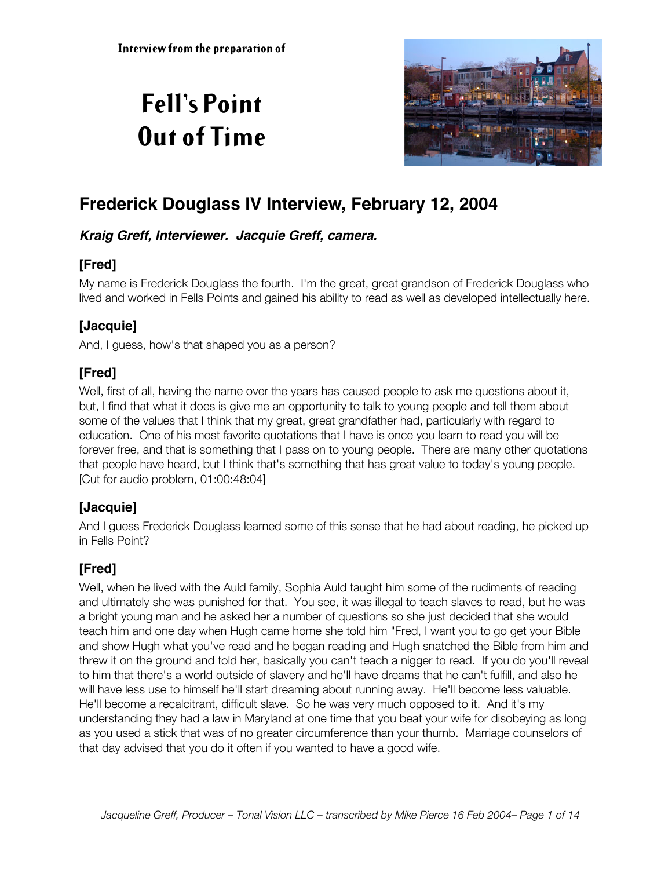# **Fell's Point Out of Time**



## **Frederick Douglass IV Interview, February 12, 2004**

#### **Kraig Greff, Interviewer. Jacquie Greff, camera.**

## **[Fred]**

My name is Frederick Douglass the fourth. I'm the great, great grandson of Frederick Douglass who lived and worked in Fells Points and gained his ability to read as well as developed intellectually here.

## **[Jacquie]**

And, I guess, how's that shaped you as a person?

## **[Fred]**

Well, first of all, having the name over the years has caused people to ask me questions about it, but, I find that what it does is give me an opportunity to talk to young people and tell them about some of the values that I think that my great, great grandfather had, particularly with regard to education. One of his most favorite quotations that I have is once you learn to read you will be forever free, and that is something that I pass on to young people. There are many other quotations that people have heard, but I think that's something that has great value to today's young people. [Cut for audio problem, 01:00:48:04]

## **[Jacquie]**

And I guess Frederick Douglass learned some of this sense that he had about reading, he picked up in Fells Point?

## **[Fred]**

Well, when he lived with the Auld family, Sophia Auld taught him some of the rudiments of reading and ultimately she was punished for that. You see, it was illegal to teach slaves to read, but he was a bright young man and he asked her a number of questions so she just decided that she would teach him and one day when Hugh came home she told him "Fred, I want you to go get your Bible and show Hugh what you've read and he began reading and Hugh snatched the Bible from him and threw it on the ground and told her, basically you can't teach a nigger to read. If you do you'll reveal to him that there's a world outside of slavery and he'll have dreams that he can't fulfill, and also he will have less use to himself he'll start dreaming about running away. He'll become less valuable. He'll become a recalcitrant, difficult slave. So he was very much opposed to it. And it's my understanding they had a law in Maryland at one time that you beat your wife for disobeying as long as you used a stick that was of no greater circumference than your thumb. Marriage counselors of that day advised that you do it often if you wanted to have a good wife.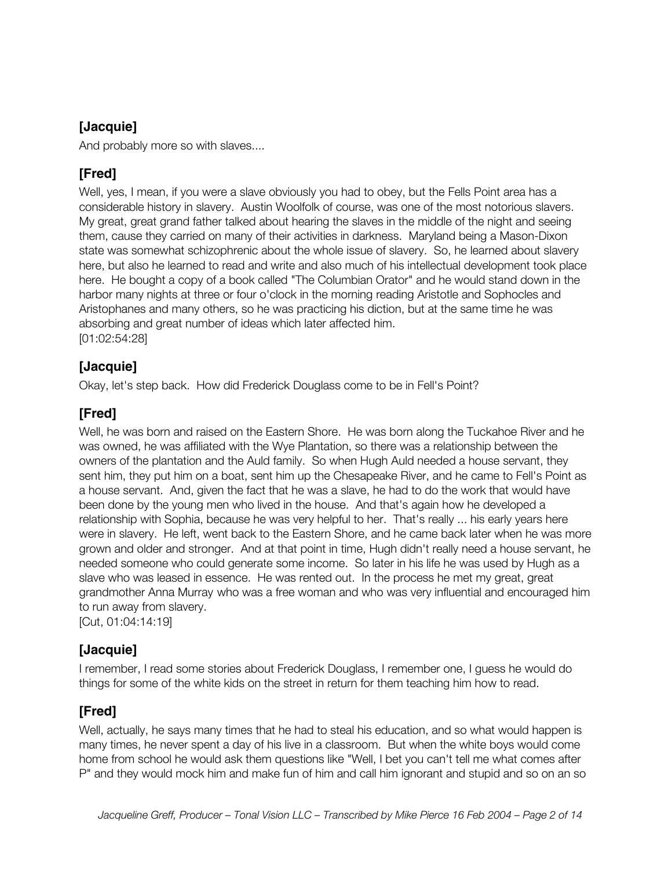#### **[Jacquie]**

And probably more so with slaves....

#### **[Fred]**

Well, yes, I mean, if you were a slave obviously you had to obey, but the Fells Point area has a considerable history in slavery. Austin Woolfolk of course, was one of the most notorious slavers. My great, great grand father talked about hearing the slaves in the middle of the night and seeing them, cause they carried on many of their activities in darkness. Maryland being a Mason-Dixon state was somewhat schizophrenic about the whole issue of slavery. So, he learned about slavery here, but also he learned to read and write and also much of his intellectual development took place here. He bought a copy of a book called "The Columbian Orator" and he would stand down in the harbor many nights at three or four o'clock in the morning reading Aristotle and Sophocles and Aristophanes and many others, so he was practicing his diction, but at the same time he was absorbing and great number of ideas which later affected him. [01:02:54:28]

#### **[Jacquie]**

Okay, let's step back. How did Frederick Douglass come to be in Fell's Point?

#### **[Fred]**

Well, he was born and raised on the Eastern Shore. He was born along the Tuckahoe River and he was owned, he was affiliated with the Wye Plantation, so there was a relationship between the owners of the plantation and the Auld family. So when Hugh Auld needed a house servant, they sent him, they put him on a boat, sent him up the Chesapeake River, and he came to Fell's Point as a house servant. And, given the fact that he was a slave, he had to do the work that would have been done by the young men who lived in the house. And that's again how he developed a relationship with Sophia, because he was very helpful to her. That's really ... his early years here were in slavery. He left, went back to the Eastern Shore, and he came back later when he was more grown and older and stronger. And at that point in time, Hugh didn't really need a house servant, he needed someone who could generate some income. So later in his life he was used by Hugh as a slave who was leased in essence. He was rented out. In the process he met my great, great grandmother Anna Murray who was a free woman and who was very influential and encouraged him to run away from slavery.

[Cut, 01:04:14:19]

#### **[Jacquie]**

I remember, I read some stories about Frederick Douglass, I remember one, I guess he would do things for some of the white kids on the street in return for them teaching him how to read.

#### **[Fred]**

Well, actually, he says many times that he had to steal his education, and so what would happen is many times, he never spent a day of his live in a classroom. But when the white boys would come home from school he would ask them questions like "Well, I bet you can't tell me what comes after P" and they would mock him and make fun of him and call him ignorant and stupid and so on an so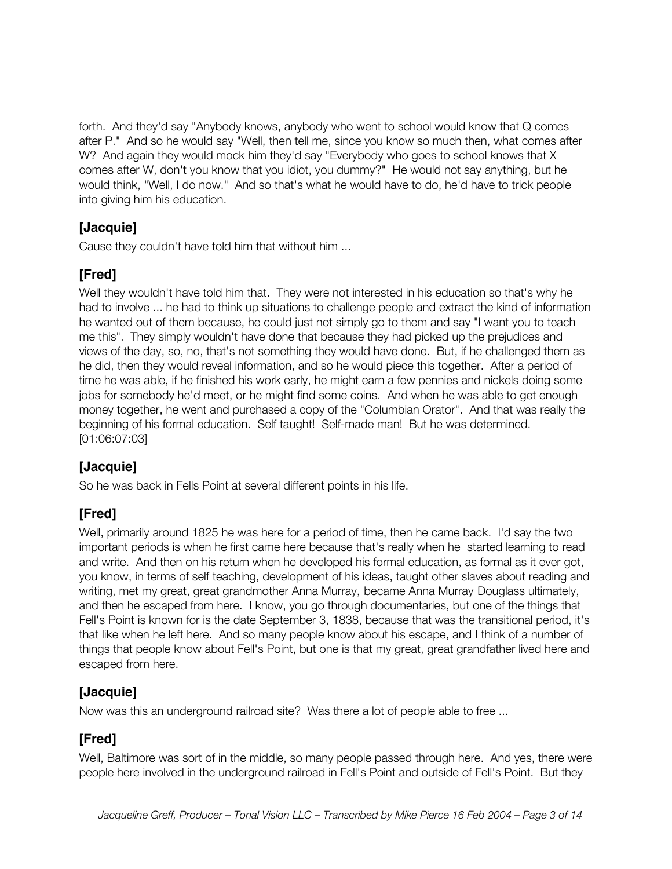forth. And they'd say "Anybody knows, anybody who went to school would know that Q comes after P." And so he would say "Well, then tell me, since you know so much then, what comes after W? And again they would mock him they'd say "Everybody who goes to school knows that X comes after W, don't you know that you idiot, you dummy?" He would not say anything, but he would think, "Well, I do now." And so that's what he would have to do, he'd have to trick people into giving him his education.

## **[Jacquie]**

Cause they couldn't have told him that without him ...

## **[Fred]**

Well they wouldn't have told him that. They were not interested in his education so that's why he had to involve ... he had to think up situations to challenge people and extract the kind of information he wanted out of them because, he could just not simply go to them and say "I want you to teach me this". They simply wouldn't have done that because they had picked up the prejudices and views of the day, so, no, that's not something they would have done. But, if he challenged them as he did, then they would reveal information, and so he would piece this together. After a period of time he was able, if he finished his work early, he might earn a few pennies and nickels doing some jobs for somebody he'd meet, or he might find some coins. And when he was able to get enough money together, he went and purchased a copy of the "Columbian Orator". And that was really the beginning of his formal education. Self taught! Self-made man! But he was determined. [01:06:07:03]

## **[Jacquie]**

So he was back in Fells Point at several different points in his life.

## **[Fred]**

Well, primarily around 1825 he was here for a period of time, then he came back. I'd say the two important periods is when he first came here because that's really when he started learning to read and write. And then on his return when he developed his formal education, as formal as it ever got, you know, in terms of self teaching, development of his ideas, taught other slaves about reading and writing, met my great, great grandmother Anna Murray, became Anna Murray Douglass ultimately, and then he escaped from here. I know, you go through documentaries, but one of the things that Fell's Point is known for is the date September 3, 1838, because that was the transitional period, it's that like when he left here. And so many people know about his escape, and I think of a number of things that people know about Fell's Point, but one is that my great, great grandfather lived here and escaped from here.

## **[Jacquie]**

Now was this an underground railroad site? Was there a lot of people able to free ...

## **[Fred]**

Well, Baltimore was sort of in the middle, so many people passed through here. And yes, there were people here involved in the underground railroad in Fell's Point and outside of Fell's Point. But they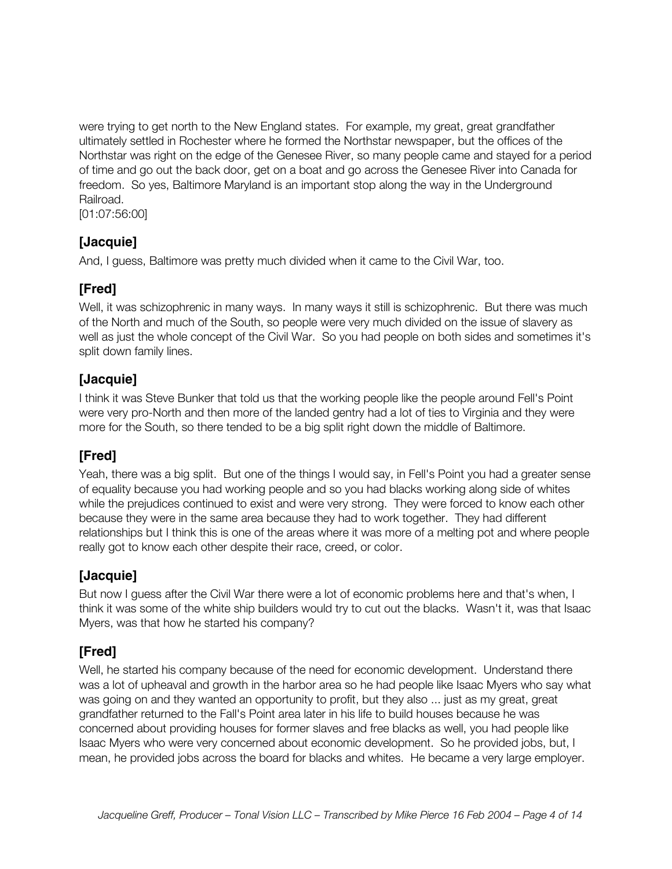were trying to get north to the New England states. For example, my great, great grandfather ultimately settled in Rochester where he formed the Northstar newspaper, but the offices of the Northstar was right on the edge of the Genesee River, so many people came and stayed for a period of time and go out the back door, get on a boat and go across the Genesee River into Canada for freedom. So yes, Baltimore Maryland is an important stop along the way in the Underground Railroad.

[01:07:56:00]

#### **[Jacquie]**

And, I guess, Baltimore was pretty much divided when it came to the Civil War, too.

## **[Fred]**

Well, it was schizophrenic in many ways. In many ways it still is schizophrenic. But there was much of the North and much of the South, so people were very much divided on the issue of slavery as well as just the whole concept of the Civil War. So you had people on both sides and sometimes it's split down family lines.

#### **[Jacquie]**

I think it was Steve Bunker that told us that the working people like the people around Fell's Point were very pro-North and then more of the landed gentry had a lot of ties to Virginia and they were more for the South, so there tended to be a big split right down the middle of Baltimore.

## **[Fred]**

Yeah, there was a big split. But one of the things I would say, in Fell's Point you had a greater sense of equality because you had working people and so you had blacks working along side of whites while the prejudices continued to exist and were very strong. They were forced to know each other because they were in the same area because they had to work together. They had different relationships but I think this is one of the areas where it was more of a melting pot and where people really got to know each other despite their race, creed, or color.

## **[Jacquie]**

But now I guess after the Civil War there were a lot of economic problems here and that's when, I think it was some of the white ship builders would try to cut out the blacks. Wasn't it, was that Isaac Myers, was that how he started his company?

## **[Fred]**

Well, he started his company because of the need for economic development. Understand there was a lot of upheaval and growth in the harbor area so he had people like Isaac Myers who say what was going on and they wanted an opportunity to profit, but they also ... just as my great, great grandfather returned to the Fall's Point area later in his life to build houses because he was concerned about providing houses for former slaves and free blacks as well, you had people like Isaac Myers who were very concerned about economic development. So he provided jobs, but, I mean, he provided jobs across the board for blacks and whites. He became a very large employer.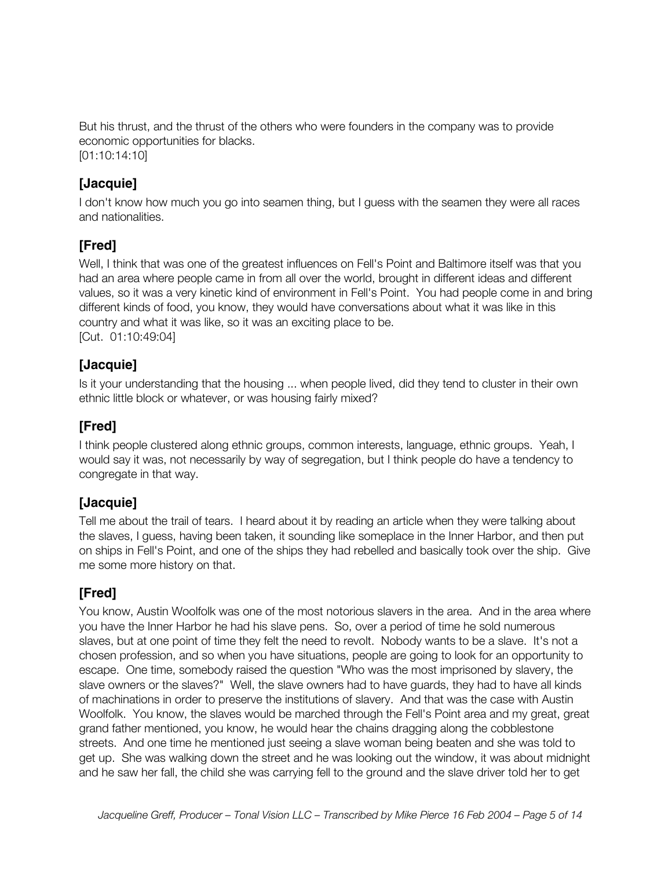But his thrust, and the thrust of the others who were founders in the company was to provide economic opportunities for blacks. [01:10:14:10]

#### **[Jacquie]**

I don't know how much you go into seamen thing, but I guess with the seamen they were all races and nationalities.

## **[Fred]**

Well, I think that was one of the greatest influences on Fell's Point and Baltimore itself was that you had an area where people came in from all over the world, brought in different ideas and different values, so it was a very kinetic kind of environment in Fell's Point. You had people come in and bring different kinds of food, you know, they would have conversations about what it was like in this country and what it was like, so it was an exciting place to be. [Cut. 01:10:49:04]

#### **[Jacquie]**

Is it your understanding that the housing ... when people lived, did they tend to cluster in their own ethnic little block or whatever, or was housing fairly mixed?

## **[Fred]**

I think people clustered along ethnic groups, common interests, language, ethnic groups. Yeah, I would say it was, not necessarily by way of segregation, but I think people do have a tendency to congregate in that way.

#### **[Jacquie]**

Tell me about the trail of tears. I heard about it by reading an article when they were talking about the slaves, I guess, having been taken, it sounding like someplace in the Inner Harbor, and then put on ships in Fell's Point, and one of the ships they had rebelled and basically took over the ship. Give me some more history on that.

## **[Fred]**

You know, Austin Woolfolk was one of the most notorious slavers in the area. And in the area where you have the Inner Harbor he had his slave pens. So, over a period of time he sold numerous slaves, but at one point of time they felt the need to revolt. Nobody wants to be a slave. It's not a chosen profession, and so when you have situations, people are going to look for an opportunity to escape. One time, somebody raised the question "Who was the most imprisoned by slavery, the slave owners or the slaves?" Well, the slave owners had to have guards, they had to have all kinds of machinations in order to preserve the institutions of slavery. And that was the case with Austin Woolfolk. You know, the slaves would be marched through the Fell's Point area and my great, great grand father mentioned, you know, he would hear the chains dragging along the cobblestone streets. And one time he mentioned just seeing a slave woman being beaten and she was told to get up. She was walking down the street and he was looking out the window, it was about midnight and he saw her fall, the child she was carrying fell to the ground and the slave driver told her to get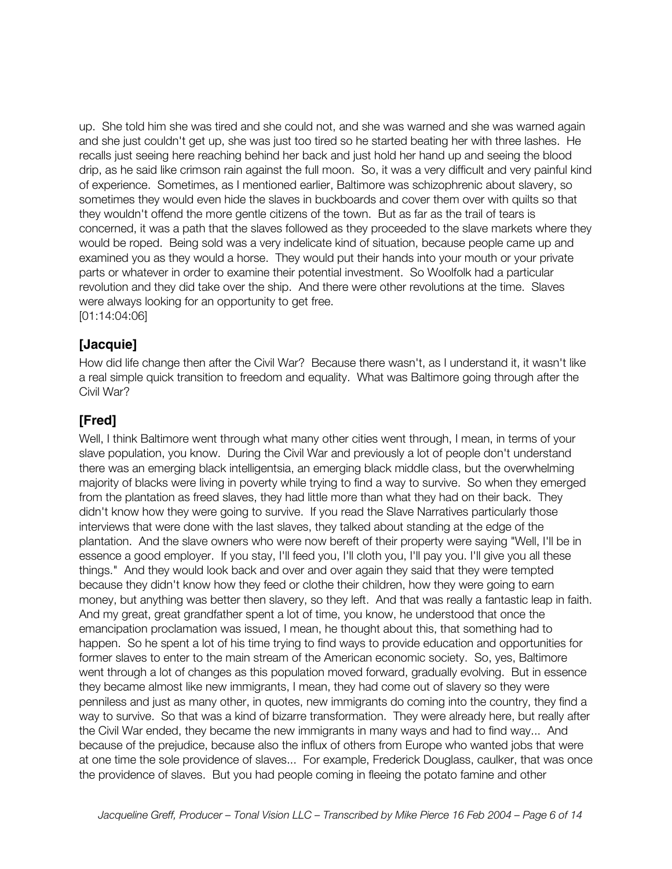up. She told him she was tired and she could not, and she was warned and she was warned again and she just couldn't get up, she was just too tired so he started beating her with three lashes. He recalls just seeing here reaching behind her back and just hold her hand up and seeing the blood drip, as he said like crimson rain against the full moon. So, it was a very difficult and very painful kind of experience. Sometimes, as I mentioned earlier, Baltimore was schizophrenic about slavery, so sometimes they would even hide the slaves in buckboards and cover them over with quilts so that they wouldn't offend the more gentle citizens of the town. But as far as the trail of tears is concerned, it was a path that the slaves followed as they proceeded to the slave markets where they would be roped. Being sold was a very indelicate kind of situation, because people came up and examined you as they would a horse. They would put their hands into your mouth or your private parts or whatever in order to examine their potential investment. So Woolfolk had a particular revolution and they did take over the ship. And there were other revolutions at the time. Slaves were always looking for an opportunity to get free. [01:14:04:06]

#### **[Jacquie]**

How did life change then after the Civil War? Because there wasn't, as I understand it, it wasn't like a real simple quick transition to freedom and equality. What was Baltimore going through after the Civil War?

## **[Fred]**

Well, I think Baltimore went through what many other cities went through, I mean, in terms of your slave population, you know. During the Civil War and previously a lot of people don't understand there was an emerging black intelligentsia, an emerging black middle class, but the overwhelming majority of blacks were living in poverty while trying to find a way to survive. So when they emerged from the plantation as freed slaves, they had little more than what they had on their back. They didn't know how they were going to survive. If you read the Slave Narratives particularly those interviews that were done with the last slaves, they talked about standing at the edge of the plantation. And the slave owners who were now bereft of their property were saying "Well, I'll be in essence a good employer. If you stay, I'll feed you, I'll cloth you, I'll pay you. I'll give you all these things." And they would look back and over and over again they said that they were tempted because they didn't know how they feed or clothe their children, how they were going to earn money, but anything was better then slavery, so they left. And that was really a fantastic leap in faith. And my great, great grandfather spent a lot of time, you know, he understood that once the emancipation proclamation was issued, I mean, he thought about this, that something had to happen. So he spent a lot of his time trying to find ways to provide education and opportunities for former slaves to enter to the main stream of the American economic society. So, yes, Baltimore went through a lot of changes as this population moved forward, gradually evolving. But in essence they became almost like new immigrants, I mean, they had come out of slavery so they were penniless and just as many other, in quotes, new immigrants do coming into the country, they find a way to survive. So that was a kind of bizarre transformation. They were already here, but really after the Civil War ended, they became the new immigrants in many ways and had to find way... And because of the prejudice, because also the influx of others from Europe who wanted jobs that were at one time the sole providence of slaves... For example, Frederick Douglass, caulker, that was once the providence of slaves. But you had people coming in fleeing the potato famine and other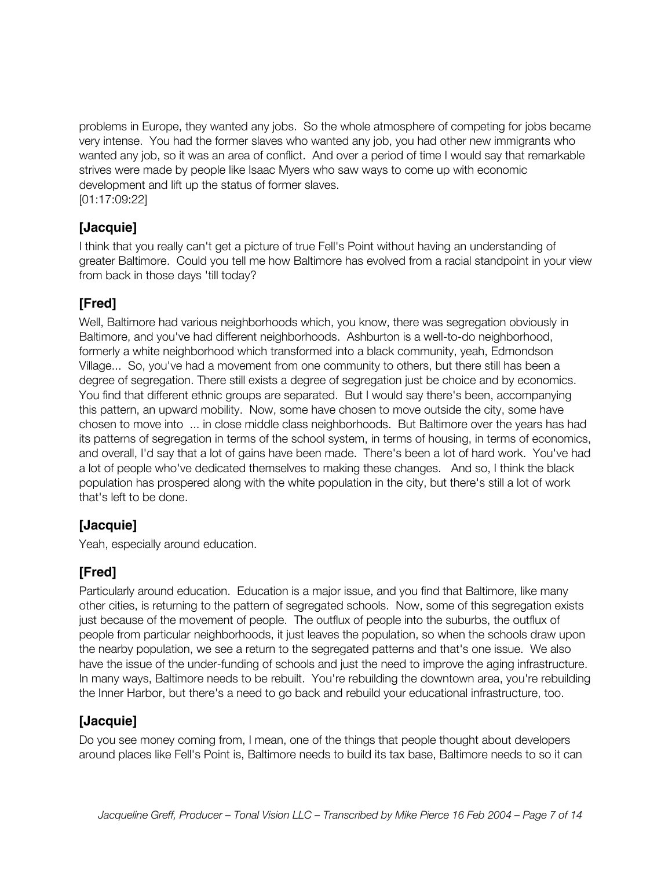problems in Europe, they wanted any jobs. So the whole atmosphere of competing for jobs became very intense. You had the former slaves who wanted any job, you had other new immigrants who wanted any job, so it was an area of conflict. And over a period of time I would say that remarkable strives were made by people like Isaac Myers who saw ways to come up with economic development and lift up the status of former slaves. [01:17:09:22]

#### **[Jacquie]**

I think that you really can't get a picture of true Fell's Point without having an understanding of greater Baltimore. Could you tell me how Baltimore has evolved from a racial standpoint in your view from back in those days 'till today?

## **[Fred]**

Well, Baltimore had various neighborhoods which, you know, there was segregation obviously in Baltimore, and you've had different neighborhoods. Ashburton is a well-to-do neighborhood, formerly a white neighborhood which transformed into a black community, yeah, Edmondson Village... So, you've had a movement from one community to others, but there still has been a degree of segregation. There still exists a degree of segregation just be choice and by economics. You find that different ethnic groups are separated. But I would say there's been, accompanying this pattern, an upward mobility. Now, some have chosen to move outside the city, some have chosen to move into ... in close middle class neighborhoods. But Baltimore over the years has had its patterns of segregation in terms of the school system, in terms of housing, in terms of economics, and overall, I'd say that a lot of gains have been made. There's been a lot of hard work. You've had a lot of people who've dedicated themselves to making these changes. And so, I think the black population has prospered along with the white population in the city, but there's still a lot of work that's left to be done.

#### **[Jacquie]**

Yeah, especially around education.

## **[Fred]**

Particularly around education. Education is a major issue, and you find that Baltimore, like many other cities, is returning to the pattern of segregated schools. Now, some of this segregation exists just because of the movement of people. The outflux of people into the suburbs, the outflux of people from particular neighborhoods, it just leaves the population, so when the schools draw upon the nearby population, we see a return to the segregated patterns and that's one issue. We also have the issue of the under-funding of schools and just the need to improve the aging infrastructure. In many ways, Baltimore needs to be rebuilt. You're rebuilding the downtown area, you're rebuilding the Inner Harbor, but there's a need to go back and rebuild your educational infrastructure, too.

#### **[Jacquie]**

Do you see money coming from, I mean, one of the things that people thought about developers around places like Fell's Point is, Baltimore needs to build its tax base, Baltimore needs to so it can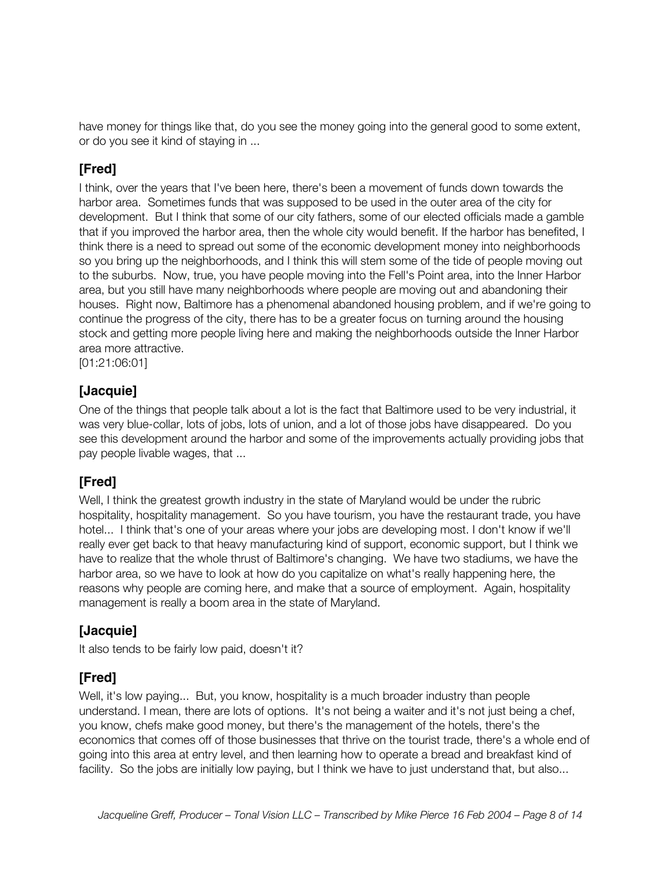have money for things like that, do you see the money going into the general good to some extent, or do you see it kind of staying in ...

## **[Fred]**

I think, over the years that I've been here, there's been a movement of funds down towards the harbor area. Sometimes funds that was supposed to be used in the outer area of the city for development. But I think that some of our city fathers, some of our elected officials made a gamble that if you improved the harbor area, then the whole city would benefit. If the harbor has benefited, I think there is a need to spread out some of the economic development money into neighborhoods so you bring up the neighborhoods, and I think this will stem some of the tide of people moving out to the suburbs. Now, true, you have people moving into the Fell's Point area, into the Inner Harbor area, but you still have many neighborhoods where people are moving out and abandoning their houses. Right now, Baltimore has a phenomenal abandoned housing problem, and if we're going to continue the progress of the city, there has to be a greater focus on turning around the housing stock and getting more people living here and making the neighborhoods outside the Inner Harbor area more attractive.

[01:21:06:01]

#### **[Jacquie]**

One of the things that people talk about a lot is the fact that Baltimore used to be very industrial, it was very blue-collar, lots of jobs, lots of union, and a lot of those jobs have disappeared. Do you see this development around the harbor and some of the improvements actually providing jobs that pay people livable wages, that ...

## **[Fred]**

Well, I think the greatest growth industry in the state of Maryland would be under the rubric hospitality, hospitality management. So you have tourism, you have the restaurant trade, you have hotel... I think that's one of your areas where your jobs are developing most. I don't know if we'll really ever get back to that heavy manufacturing kind of support, economic support, but I think we have to realize that the whole thrust of Baltimore's changing. We have two stadiums, we have the harbor area, so we have to look at how do you capitalize on what's really happening here, the reasons why people are coming here, and make that a source of employment. Again, hospitality management is really a boom area in the state of Maryland.

#### **[Jacquie]**

It also tends to be fairly low paid, doesn't it?

## **[Fred]**

Well, it's low paying... But, you know, hospitality is a much broader industry than people understand. I mean, there are lots of options. It's not being a waiter and it's not just being a chef, you know, chefs make good money, but there's the management of the hotels, there's the economics that comes off of those businesses that thrive on the tourist trade, there's a whole end of going into this area at entry level, and then learning how to operate a bread and breakfast kind of facility. So the jobs are initially low paying, but I think we have to just understand that, but also...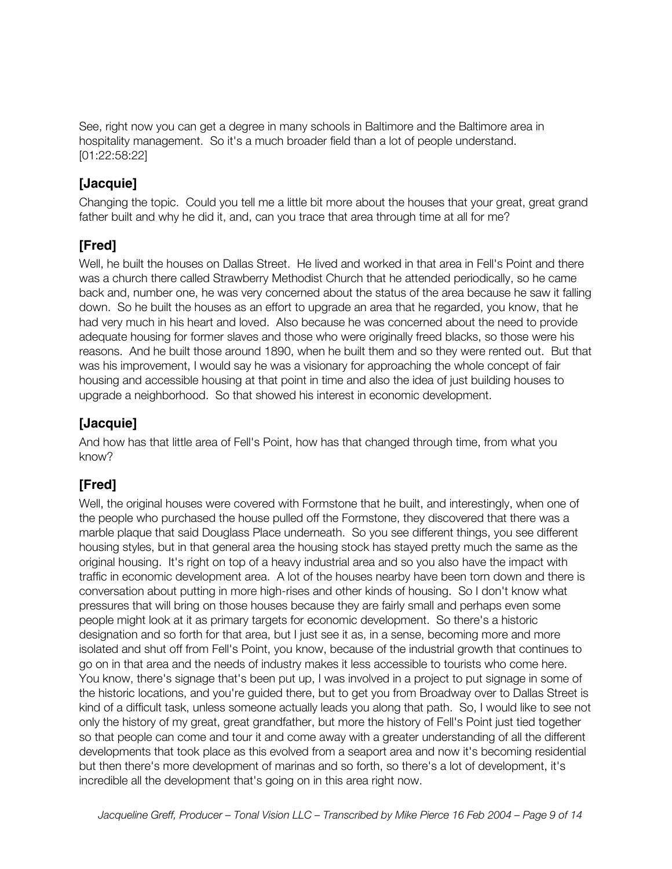See, right now you can get a degree in many schools in Baltimore and the Baltimore area in hospitality management. So it's a much broader field than a lot of people understand. [01:22:58:22]

#### **[Jacquie]**

Changing the topic. Could you tell me a little bit more about the houses that your great, great grand father built and why he did it, and, can you trace that area through time at all for me?

## **[Fred]**

Well, he built the houses on Dallas Street. He lived and worked in that area in Fell's Point and there was a church there called Strawberry Methodist Church that he attended periodically, so he came back and, number one, he was very concerned about the status of the area because he saw it falling down. So he built the houses as an effort to upgrade an area that he regarded, you know, that he had very much in his heart and loved. Also because he was concerned about the need to provide adequate housing for former slaves and those who were originally freed blacks, so those were his reasons. And he built those around 1890, when he built them and so they were rented out. But that was his improvement, I would say he was a visionary for approaching the whole concept of fair housing and accessible housing at that point in time and also the idea of just building houses to upgrade a neighborhood. So that showed his interest in economic development.

#### **[Jacquie]**

And how has that little area of Fell's Point, how has that changed through time, from what you know?

## **[Fred]**

Well, the original houses were covered with Formstone that he built, and interestingly, when one of the people who purchased the house pulled off the Formstone, they discovered that there was a marble plaque that said Douglass Place underneath. So you see different things, you see different housing styles, but in that general area the housing stock has stayed pretty much the same as the original housing. It's right on top of a heavy industrial area and so you also have the impact with traffic in economic development area. A lot of the houses nearby have been torn down and there is conversation about putting in more high-rises and other kinds of housing. So I don't know what pressures that will bring on those houses because they are fairly small and perhaps even some people might look at it as primary targets for economic development. So there's a historic designation and so forth for that area, but I just see it as, in a sense, becoming more and more isolated and shut off from Fell's Point, you know, because of the industrial growth that continues to go on in that area and the needs of industry makes it less accessible to tourists who come here. You know, there's signage that's been put up, I was involved in a project to put signage in some of the historic locations, and you're guided there, but to get you from Broadway over to Dallas Street is kind of a difficult task, unless someone actually leads you along that path. So, I would like to see not only the history of my great, great grandfather, but more the history of Fell's Point just tied together so that people can come and tour it and come away with a greater understanding of all the different developments that took place as this evolved from a seaport area and now it's becoming residential but then there's more development of marinas and so forth, so there's a lot of development, it's incredible all the development that's going on in this area right now.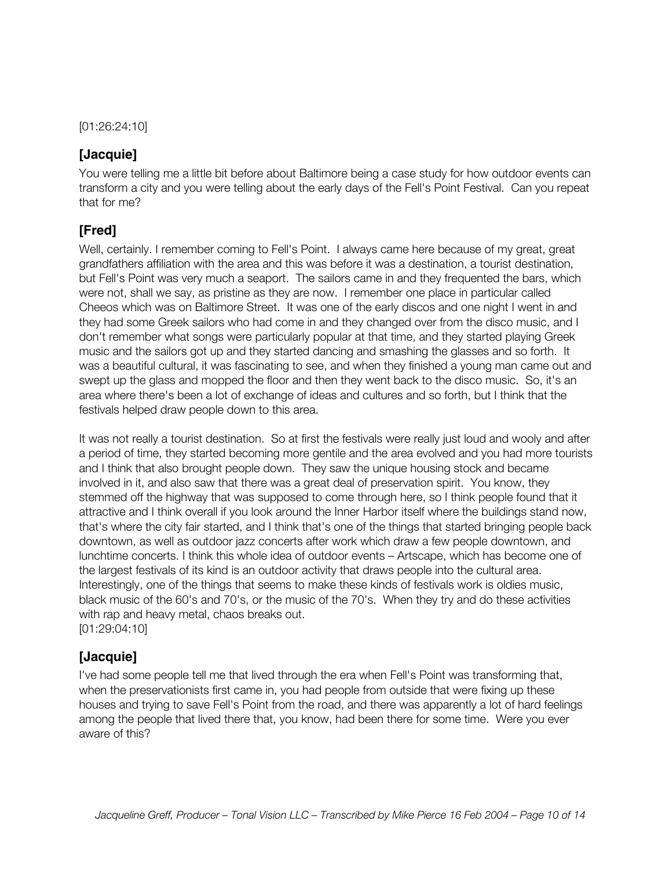[01:26:24:10]

#### **[Jacquie]**

You were telling me a little bit before about Baltimore being a case study for how outdoor events can transform a city and you were telling about the early days of the Fell's Point Festival. Can you repeat that for me?

#### **[Fred]**

Well, certainly. I remember coming to Fell's Point. I always came here because of my great, great grandfathers affiliation with the area and this was before it was a destination, a tourist destination, but Fell's Point was very much a seaport. The sailors came in and they frequented the bars, which were not, shall we say, as pristine as they are now. I remember one place in particular called Cheeos which was on Baltimore Street. It was one of the early discos and one night I went in and they had some Greek sailors who had come in and they changed over from the disco music, and I don't remember what songs were particularly popular at that time, and they started playing Greek music and the sailors got up and they started dancing and smashing the glasses and so forth. It was a beautiful cultural, it was fascinating to see, and when they finished a young man came out and swept up the glass and mopped the floor and then they went back to the disco music. So, it's an area where there's been a lot of exchange of ideas and cultures and so forth, but I think that the festivals helped draw people down to this area.

It was not really a tourist destination. So at first the festivals were really just loud and wooly and after a period of time, they started becoming more gentile and the area evolved and you had more tourists and I think that also brought people down. They saw the unique housing stock and became involved in it, and also saw that there was a great deal of preservation spirit. You know, they stemmed off the highway that was supposed to come through here, so I think people found that it attractive and I think overall if you look around the Inner Harbor itself where the buildings stand now, that's where the city fair started, and I think that's one of the things that started bringing people back downtown, as well as outdoor jazz concerts after work which draw a few people downtown, and lunchtime concerts. I think this whole idea of outdoor events – Artscape, which has become one of the largest festivals of its kind is an outdoor activity that draws people into the cultural area. Interestingly, one of the things that seems to make these kinds of festivals work is oldies music, black music of the 60's and 70's, or the music of the 70's. When they try and do these activities with rap and heavy metal, chaos breaks out. [01:29:04:10]

#### **[Jacquie]**

I've had some people tell me that lived through the era when Fell's Point was transforming that, when the preservationists first came in, you had people from outside that were fixing up these houses and trying to save Fell's Point from the road, and there was apparently a lot of hard feelings among the people that lived there that, you know, had been there for some time. Were you ever aware of this?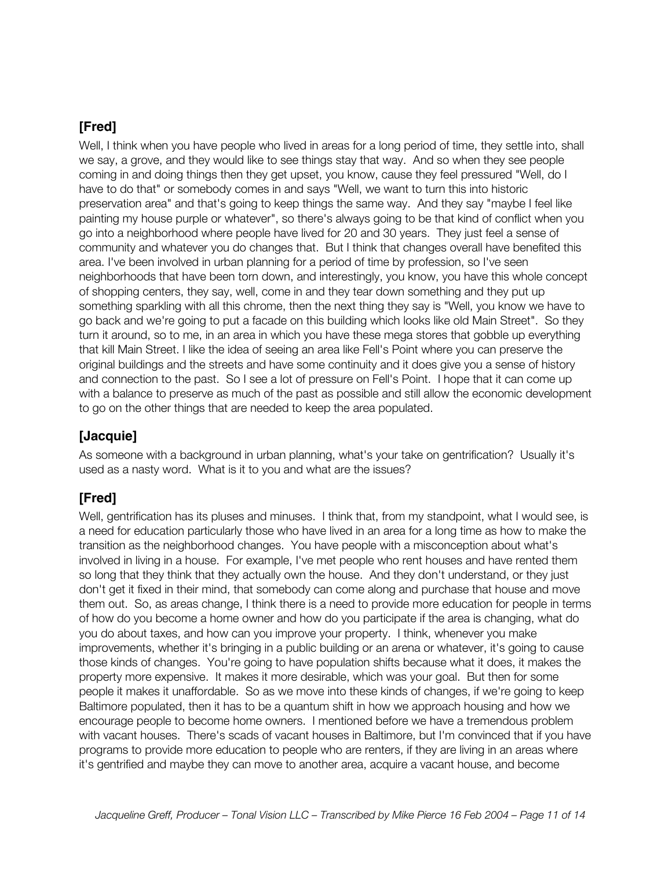#### **[Fred]**

Well, I think when you have people who lived in areas for a long period of time, they settle into, shall we say, a grove, and they would like to see things stay that way. And so when they see people coming in and doing things then they get upset, you know, cause they feel pressured "Well, do I have to do that" or somebody comes in and says "Well, we want to turn this into historic preservation area" and that's going to keep things the same way. And they say "maybe I feel like painting my house purple or whatever", so there's always going to be that kind of conflict when you go into a neighborhood where people have lived for 20 and 30 years. They just feel a sense of community and whatever you do changes that. But I think that changes overall have benefited this area. I've been involved in urban planning for a period of time by profession, so I've seen neighborhoods that have been torn down, and interestingly, you know, you have this whole concept of shopping centers, they say, well, come in and they tear down something and they put up something sparkling with all this chrome, then the next thing they say is "Well, you know we have to go back and we're going to put a facade on this building which looks like old Main Street". So they turn it around, so to me, in an area in which you have these mega stores that gobble up everything that kill Main Street. I like the idea of seeing an area like Fell's Point where you can preserve the original buildings and the streets and have some continuity and it does give you a sense of history and connection to the past. So I see a lot of pressure on Fell's Point. I hope that it can come up with a balance to preserve as much of the past as possible and still allow the economic development to go on the other things that are needed to keep the area populated.

#### **[Jacquie]**

As someone with a background in urban planning, what's your take on gentrification? Usually it's used as a nasty word. What is it to you and what are the issues?

#### **[Fred]**

Well, gentrification has its pluses and minuses. I think that, from my standpoint, what I would see, is a need for education particularly those who have lived in an area for a long time as how to make the transition as the neighborhood changes. You have people with a misconception about what's involved in living in a house. For example, I've met people who rent houses and have rented them so long that they think that they actually own the house. And they don't understand, or they just don't get it fixed in their mind, that somebody can come along and purchase that house and move them out. So, as areas change, I think there is a need to provide more education for people in terms of how do you become a home owner and how do you participate if the area is changing, what do you do about taxes, and how can you improve your property. I think, whenever you make improvements, whether it's bringing in a public building or an arena or whatever, it's going to cause those kinds of changes. You're going to have population shifts because what it does, it makes the property more expensive. It makes it more desirable, which was your goal. But then for some people it makes it unaffordable. So as we move into these kinds of changes, if we're going to keep Baltimore populated, then it has to be a quantum shift in how we approach housing and how we encourage people to become home owners. I mentioned before we have a tremendous problem with vacant houses. There's scads of vacant houses in Baltimore, but I'm convinced that if you have programs to provide more education to people who are renters, if they are living in an areas where it's gentrified and maybe they can move to another area, acquire a vacant house, and become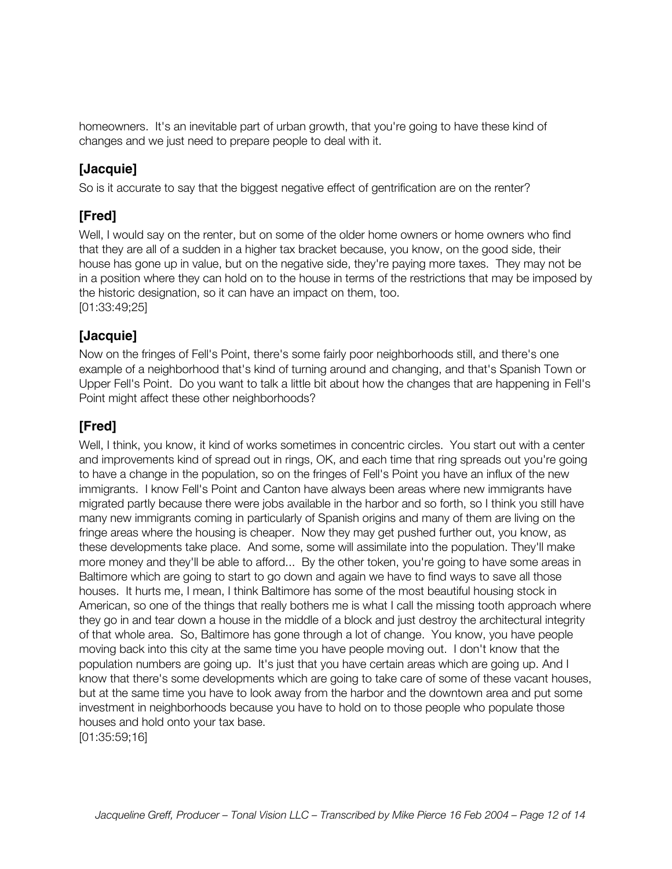homeowners. It's an inevitable part of urban growth, that you're going to have these kind of changes and we just need to prepare people to deal with it.

## **[Jacquie]**

So is it accurate to say that the biggest negative effect of gentrification are on the renter?

## **[Fred]**

Well, I would say on the renter, but on some of the older home owners or home owners who find that they are all of a sudden in a higher tax bracket because, you know, on the good side, their house has gone up in value, but on the negative side, they're paying more taxes. They may not be in a position where they can hold on to the house in terms of the restrictions that may be imposed by the historic designation, so it can have an impact on them, too. [01:33:49;25]

## **[Jacquie]**

Now on the fringes of Fell's Point, there's some fairly poor neighborhoods still, and there's one example of a neighborhood that's kind of turning around and changing, and that's Spanish Town or Upper Fell's Point. Do you want to talk a little bit about how the changes that are happening in Fell's Point might affect these other neighborhoods?

## **[Fred]**

Well, I think, you know, it kind of works sometimes in concentric circles. You start out with a center and improvements kind of spread out in rings, OK, and each time that ring spreads out you're going to have a change in the population, so on the fringes of Fell's Point you have an influx of the new immigrants. I know Fell's Point and Canton have always been areas where new immigrants have migrated partly because there were jobs available in the harbor and so forth, so I think you still have many new immigrants coming in particularly of Spanish origins and many of them are living on the fringe areas where the housing is cheaper. Now they may get pushed further out, you know, as these developments take place. And some, some will assimilate into the population. They'll make more money and they'll be able to afford... By the other token, you're going to have some areas in Baltimore which are going to start to go down and again we have to find ways to save all those houses. It hurts me, I mean, I think Baltimore has some of the most beautiful housing stock in American, so one of the things that really bothers me is what I call the missing tooth approach where they go in and tear down a house in the middle of a block and just destroy the architectural integrity of that whole area. So, Baltimore has gone through a lot of change. You know, you have people moving back into this city at the same time you have people moving out. I don't know that the population numbers are going up. It's just that you have certain areas which are going up. And I know that there's some developments which are going to take care of some of these vacant houses, but at the same time you have to look away from the harbor and the downtown area and put some investment in neighborhoods because you have to hold on to those people who populate those houses and hold onto your tax base.

[01:35:59;16]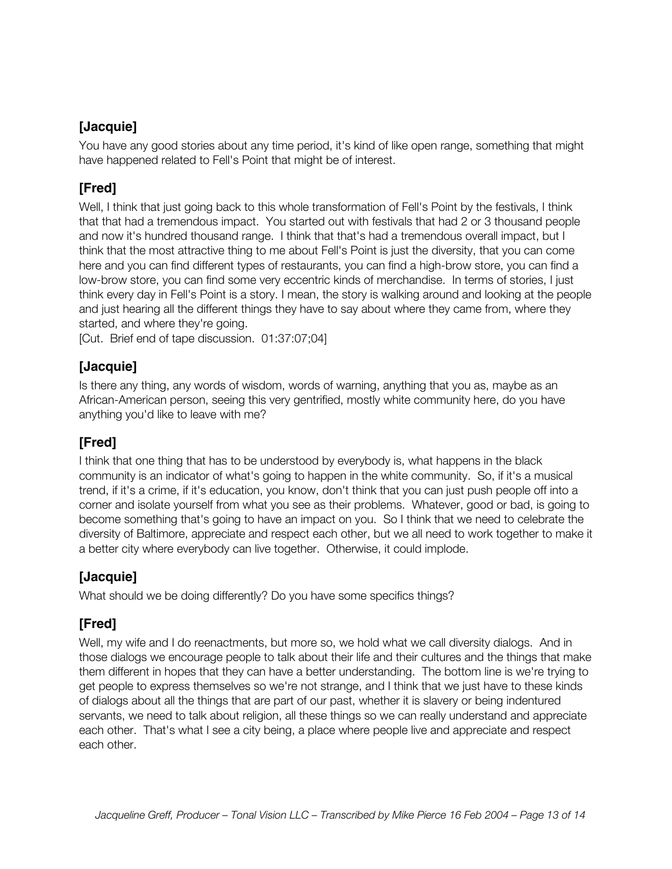#### **[Jacquie]**

You have any good stories about any time period, it's kind of like open range, something that might have happened related to Fell's Point that might be of interest.

#### **[Fred]**

Well, I think that just going back to this whole transformation of Fell's Point by the festivals, I think that that had a tremendous impact. You started out with festivals that had 2 or 3 thousand people and now it's hundred thousand range. I think that that's had a tremendous overall impact, but I think that the most attractive thing to me about Fell's Point is just the diversity, that you can come here and you can find different types of restaurants, you can find a high-brow store, you can find a low-brow store, you can find some very eccentric kinds of merchandise. In terms of stories, I just think every day in Fell's Point is a story. I mean, the story is walking around and looking at the people and just hearing all the different things they have to say about where they came from, where they started, and where they're going.

[Cut. Brief end of tape discussion. 01:37:07;04]

#### **[Jacquie]**

Is there any thing, any words of wisdom, words of warning, anything that you as, maybe as an African-American person, seeing this very gentrified, mostly white community here, do you have anything you'd like to leave with me?

#### **[Fred]**

I think that one thing that has to be understood by everybody is, what happens in the black community is an indicator of what's going to happen in the white community. So, if it's a musical trend, if it's a crime, if it's education, you know, don't think that you can just push people off into a corner and isolate yourself from what you see as their problems. Whatever, good or bad, is going to become something that's going to have an impact on you. So I think that we need to celebrate the diversity of Baltimore, appreciate and respect each other, but we all need to work together to make it a better city where everybody can live together. Otherwise, it could implode.

#### **[Jacquie]**

What should we be doing differently? Do you have some specifics things?

#### **[Fred]**

Well, my wife and I do reenactments, but more so, we hold what we call diversity dialogs. And in those dialogs we encourage people to talk about their life and their cultures and the things that make them different in hopes that they can have a better understanding. The bottom line is we're trying to get people to express themselves so we're not strange, and I think that we just have to these kinds of dialogs about all the things that are part of our past, whether it is slavery or being indentured servants, we need to talk about religion, all these things so we can really understand and appreciate each other. That's what I see a city being, a place where people live and appreciate and respect each other.